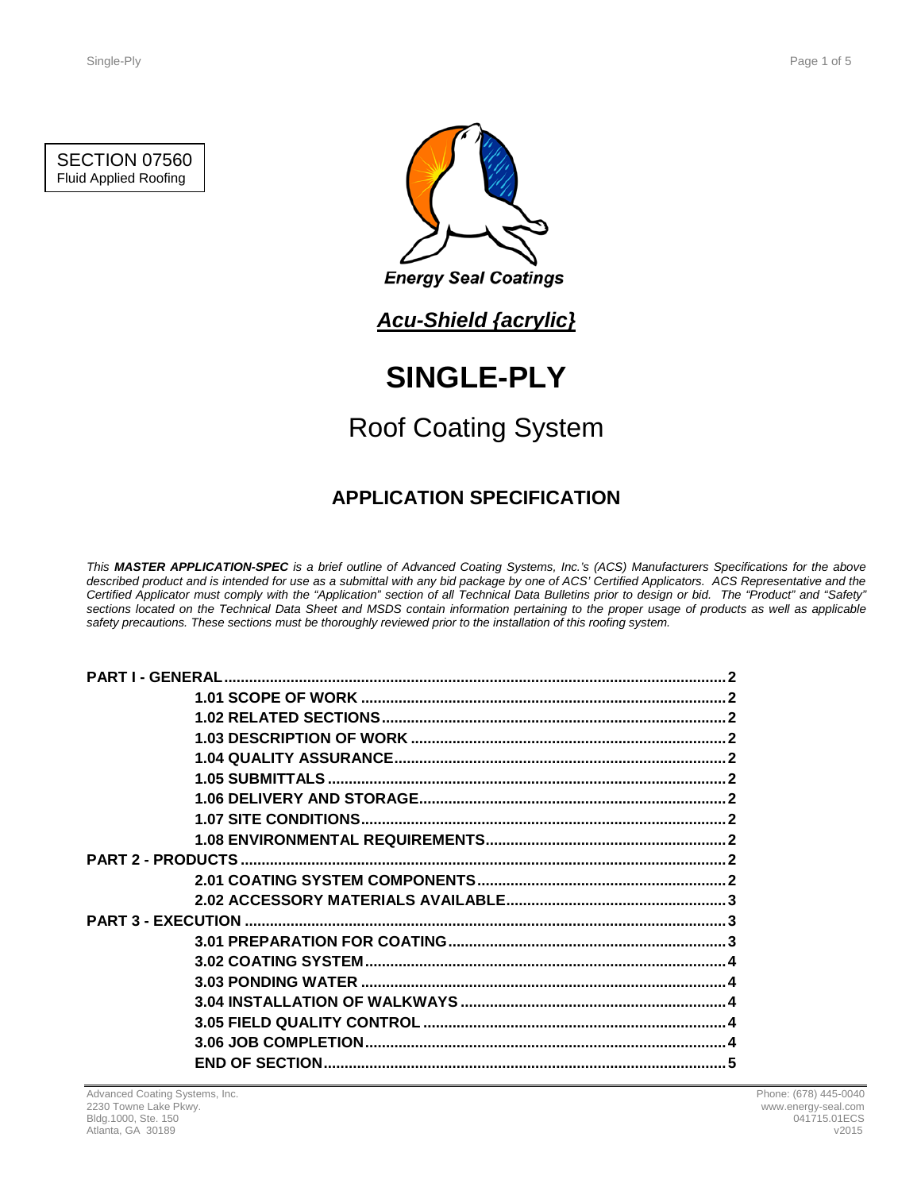### SECTION 07560 Fluid Applied Roofing



*Acu-Shield {acrylic}*

# **SINGLE-PLY**

## Roof Coating System

## **APPLICATION SPECIFICATION**

*This MASTER APPLICATION-SPEC is a brief outline of Advanced Coating Systems, Inc.'s (ACS) Manufacturers Specifications for the above described product and is intended for use as a submittal with any bid package by one of ACS' Certified Applicators. ACS Representative and the Certified Applicator must comply with the "Application" section of all Technical Data Bulletins prior to design or bid. The "Product" and "Safety" sections located on the Technical Data Sheet and MSDS contain information pertaining to the proper usage of products as well as applicable safety precautions. These sections must be thoroughly reviewed prior to the installation of this roofing system.*

| <b>PART I - GENERAL</b> |  |
|-------------------------|--|
|                         |  |
|                         |  |
|                         |  |
|                         |  |
|                         |  |
|                         |  |
|                         |  |
|                         |  |
|                         |  |
|                         |  |
|                         |  |
|                         |  |
|                         |  |
|                         |  |
|                         |  |
|                         |  |
|                         |  |
|                         |  |
|                         |  |
|                         |  |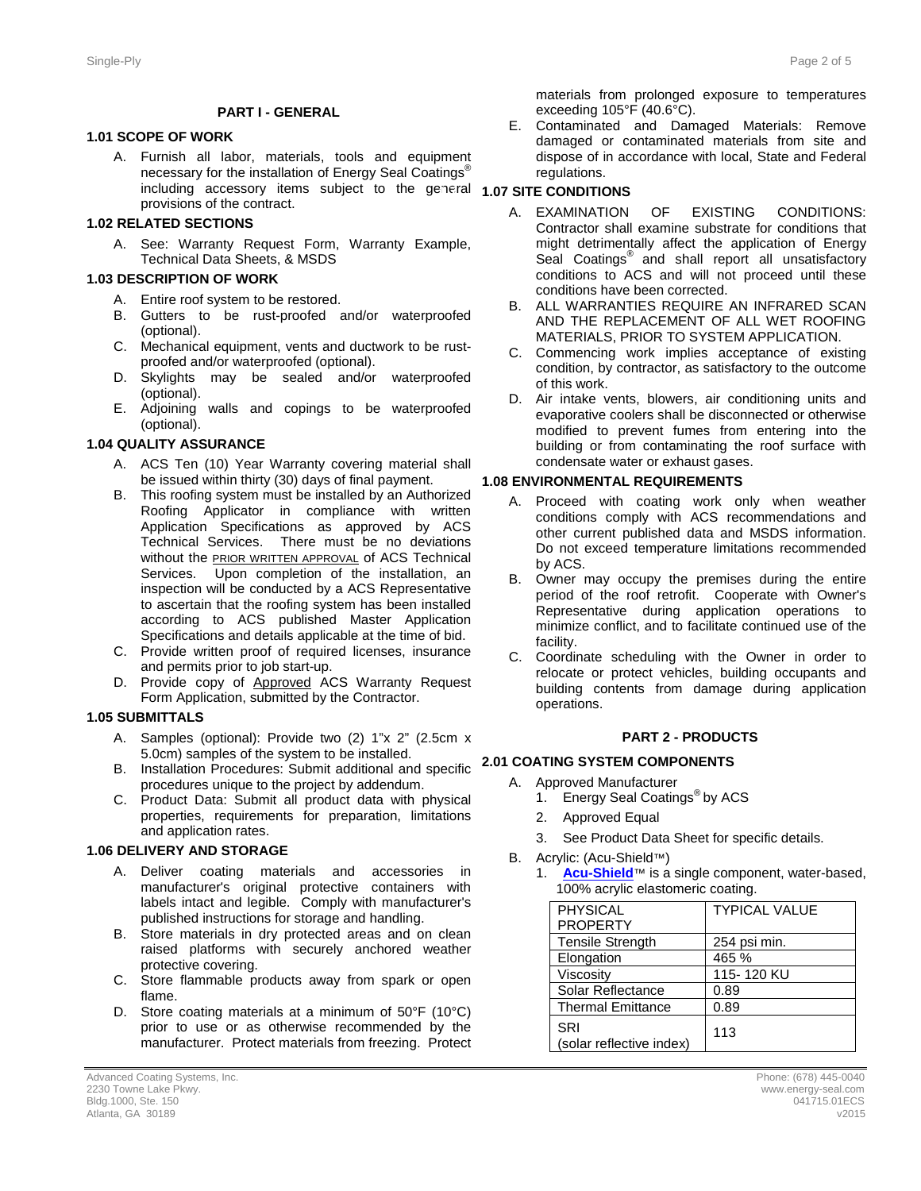#### **PART I - GENERAL**

#### **1.1 1.01 SCOPE OF WORK**

A. Furnish all labor, materials, tools and equipment necessary for the installation of Energy Seal Coatings<sup>®</sup> including accessory items subject to the general **1.07 SITE CONDITIONS** provisions of the contract.

#### **1.2 1.02 RELATED SECTIONS**

A. See: Warranty Request Form, Warranty Example, Technical Data Sheets, & MSDS

#### **1.3 1.03 DESCRIPTION OF WORK**

- A. Entire roof system to be restored.
- B. Gutters to be rust-proofed and/or waterproofed (optional).
- C. Mechanical equipment, vents and ductwork to be rustproofed and/or waterproofed (optional).
- D. Skylights may be sealed and/or waterproofed (optional).
- E. Adjoining walls and copings to be waterproofed (optional).

#### **1.4 1.04 QUALITY ASSURANCE**

- A. ACS Ten (10) Year Warranty covering material shall be issued within thirty (30) days of final payment.
- B. This roofing system must be installed by an Authorized Roofing Applicator in compliance with written Application Specifications as approved by ACS Technical Services. There must be no deviations without the **PRIOR WRITTEN APPROVAL** of ACS Technical Services. Upon completion of the installation, an inspection will be conducted by a ACS Representative to ascertain that the roofing system has been installed according to ACS published Master Application Specifications and details applicable at the time of bid.
- C. Provide written proof of required licenses, insurance and permits prior to job start-up.
- D. Provide copy of Approved ACS Warranty Request Form Application, submitted by the Contractor.

#### **1.5 1.05 SUBMITTALS**

- A. Samples (optional): Provide two (2) 1"x 2" (2.5cm x 5.0cm) samples of the system to be installed.
- B. Installation Procedures: Submit additional and specific **2.1 2.01 COATING SYSTEM COMPONENTS** procedures unique to the project by addendum.
- C. Product Data: Submit all product data with physical properties, requirements for preparation, limitations and application rates.

#### **1.6 1.06 DELIVERY AND STORAGE**

- A. Deliver coating materials and accessories in manufacturer's original protective containers with labels intact and legible. Comply with manufacturer's published instructions for storage and handling.
- B. Store materials in dry protected areas and on clean raised platforms with securely anchored weather protective covering.
- C. Store flammable products away from spark or open flame.
- D. Store coating materials at a minimum of 50°F (10°C) prior to use or as otherwise recommended by the manufacturer. Protect materials from freezing. Protect

materials from prolonged exposure to temperatures exceeding 105°F (40.6°C).

E. Contaminated and Damaged Materials: Remove damaged or contaminated materials from site and dispose of in accordance with local, State and Federal regulations.

- A. EXAMINATION OF EXISTING CONDITIONS: Contractor shall examine substrate for conditions that might detrimentally affect the application of Energy Seal Coatings<sup>®</sup> and shall report all unsatisfactory conditions to ACS and will not proceed until these conditions have been corrected.
- B. ALL WARRANTIES REQUIRE AN INFRARED SCAN AND THE REPLACEMENT OF ALL WET ROOFING MATERIALS, PRIOR TO SYSTEM APPLICATION.
- C. Commencing work implies acceptance of existing condition, by contractor, as satisfactory to the outcome of this work.
- D. Air intake vents, blowers, air conditioning units and evaporative coolers shall be disconnected or otherwise modified to prevent fumes from entering into the building or from contaminating the roof surface with condensate water or exhaust gases.

#### **1.8 1.08 ENVIRONMENTAL REQUIREMENTS**

- A. Proceed with coating work only when weather conditions comply with ACS recommendations and other current published data and MSDS information. Do not exceed temperature limitations recommended by ACS.
- B. Owner may occupy the premises during the entire period of the roof retrofit. Cooperate with Owner's Representative during application operations to minimize conflict, and to facilitate continued use of the facility.
- C. Coordinate scheduling with the Owner in order to relocate or protect vehicles, building occupants and building contents from damage during application operations.

#### **2 PART 2 - PRODUCTS**

- A. Approved Manufacturer
	- 1. Energy Seal Coatings<sup>®</sup> by ACS
	- 2. Approved Equal
	- 3. See Product Data Sheet for specific details.
- B. Acrylic: (Acu-Shield™)
	- 1. **[Acu-Shield](http://www.energy-seal.com/UserDyn/ACS/pdfs/acu-shield.pdf)**™ is a single component, water-based, 100% acrylic elastomeric coating.

| <b>PHYSICAL</b>                 | <b>TYPICAL VALUE</b> |
|---------------------------------|----------------------|
| <b>PROPERTY</b>                 |                      |
| <b>Tensile Strength</b>         | 254 psi min.         |
| Elongation                      | 465 %                |
| Viscosity                       | 115-120 KU           |
| Solar Reflectance               | 0.89                 |
| <b>Thermal Emittance</b>        | 0.89                 |
| SRI<br>(solar reflective index) | 113                  |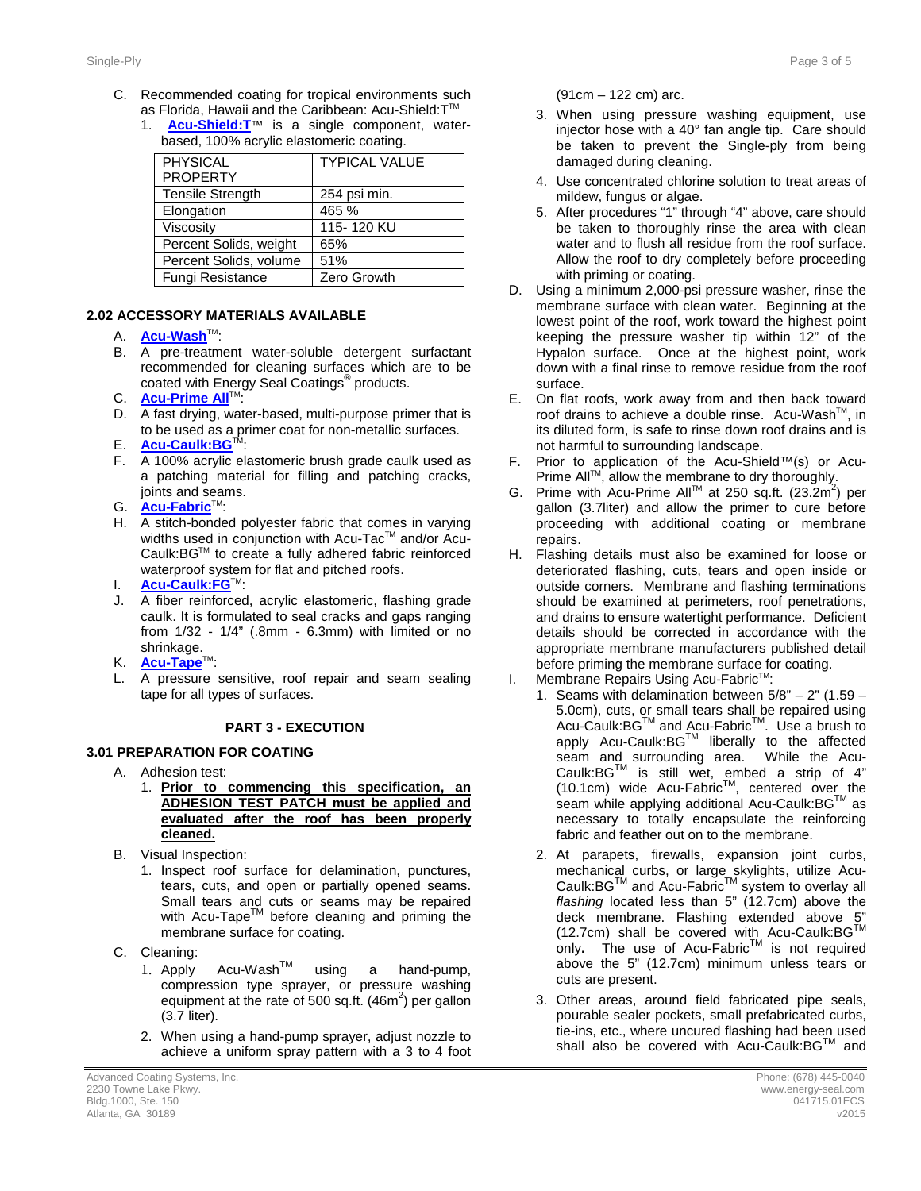- C. Recommended coating for tropical environments such as Florida, Hawaii and the Caribbean: Acu-Shield: T™
	- 1. **[Acu-Shield:T](http://www.energy-seal.com/UserDyn/ACS/pdfs/acu-shield-t.pdf)**™ is a single component, waterbased, 100% acrylic elastomeric coating.

| <b>PHYSICAL</b><br><b>PROPERTY</b> | <b>TYPICAL VALUE</b> |
|------------------------------------|----------------------|
| <b>Tensile Strength</b>            | 254 psi min.         |
| Elongation                         | 465 %                |
| Viscosity                          | 115-120 KU           |
| Percent Solids, weight             | 65%                  |
| Percent Solids, volume             | 51%                  |
| Fungi Resistance                   | Zero Growth          |

#### **2.2 2.02 ACCESSORY MATERIALS AVAILABLE**

- A. **[Acu-Wash](http://www.energy-seal.com/UserDyn/ACS/pdfs/acu-wash.pdf)™:**
- B. A pre-treatment water-soluble detergent surfactant recommended for cleaning surfaces which are to be coated with Energy Seal Coatings® products.
- C. **[Acu-Prime](http://www.energy-seal.com/UserDyn/ACS/pdfs/acu-prime%20all.pdf) All**™:
- D. A fast drying, water-based, multi-purpose primer that is to be used as a primer coat for non-metallic surfaces.
- E. **[Acu-Caulk:BG](http://www.energy-seal.com/UserDyn/ACS/pdfs/acu-caulk_bg.pdf)**TM:
- F. A 100% acrylic elastomeric brush grade caulk used as a patching material for filling and patching cracks, joints and seams.
- G. **<u>[Acu-Fabric](http://www.energy-seal.com/UserDyn/ACS/pdfs/acu-fabric-sb.pdf)</u>™:**
- H. A stitch-bonded polyester fabric that comes in varying widths used in conjunction with Acu-Tac™ and/or Acu-Caulk:BGTM to create a fully adhered fabric reinforced waterproof system for flat and pitched roofs.
- I. **[Acu-Caulk:FG](http://www.energy-seal.com/UserDyn/ACS/pdfs/acu-caulk_fg.pdf)**TM:
- J. A fiber reinforced, acrylic elastomeric, flashing grade caulk. It is formulated to seal cracks and gaps ranging from 1/32 - 1/4" (.8mm - 6.3mm) with limited or no shrinkage.
- K. **[Acu-Tape](http://www.energy-seal.com/UserDyn/ACS/pdfs/acu-tape.pdf)**TM:
- L. A pressure sensitive, roof repair and seam sealing tape for all types of surfaces.

#### **3 PART 3 - EXECUTION**

#### **3.1 3.01 PREPARATION FOR COATING**

- A. Adhesion test:
	- 1. **Prior to commencing this specification, an ADHESION TEST PATCH must be applied and evaluated after the roof has been properly cleaned.**
- B. Visual Inspection:
	- 1. Inspect roof surface for delamination, punctures, tears, cuts, and open or partially opened seams. Small tears and cuts or seams may be repaired with Acu-Tape<sup>TM</sup> before cleaning and priming the membrane surface for coating.
- C. Cleaning:
	- 1. Apply Acu-WashTM using a hand-pump, compression type sprayer, or pressure washing equipment at the rate of 500 sq.ft.  $(46m^2)$  per gallon (3.7 liter).
	- 2. When using a hand-pump sprayer, adjust nozzle to achieve a uniform spray pattern with a 3 to 4 foot

(91cm – 122 cm) arc.

- 3. When using pressure washing equipment, use injector hose with a 40° fan angle tip. Care should be taken to prevent the Single-ply from being damaged during cleaning.
- 4. Use concentrated chlorine solution to treat areas of mildew, fungus or algae.
- 5. After procedures "1" through "4" above, care should be taken to thoroughly rinse the area with clean water and to flush all residue from the roof surface. Allow the roof to dry completely before proceeding with priming or coating.
- D. Using a minimum 2,000-psi pressure washer, rinse the membrane surface with clean water. Beginning at the lowest point of the roof, work toward the highest point keeping the pressure washer tip within 12" of the Hypalon surface. Once at the highest point, work down with a final rinse to remove residue from the roof surface.
- E. On flat roofs, work away from and then back toward roof drains to achieve a double rinse. Acu-Wash™, in its diluted form, is safe to rinse down roof drains and is not harmful to surrounding landscape.
- F. Prior to application of the Acu-Shield™(s) or Acu-Prime All™, allow the membrane to dry thoroughly.
- G. Prime with Acu-Prime All™ at 250 sq.ft. (23.2m<sup>2</sup>) per gallon (3.7liter) and allow the primer to cure before proceeding with additional coating or membrane repairs.
- H. Flashing details must also be examined for loose or deteriorated flashing, cuts, tears and open inside or outside corners. Membrane and flashing terminations should be examined at perimeters, roof penetrations, and drains to ensure watertight performance. Deficient details should be corrected in accordance with the appropriate membrane manufacturers published detail before priming the membrane surface for coating.
- I. Membrane Repairs Using Acu-Fabric<sup>™</sup>:
	- 1. Seams with delamination between  $5/8" 2"$  (1.59 5.0cm), cuts, or small tears shall be repaired using Acu-Caulk:BG™ and Acu-Fabric<sup>™</sup>. Use a brush to apply Acu-Caulk:BGTM liberally to the affected seam and surrounding area. While the Acu-Caulk:BG $^{TM}$  is still wet, embed a strip of 4"  $(10.1cm)$  wide Acu-Fabric<sup>TM</sup>, centered over the seam while applying additional Acu-Caulk: BG™ as necessary to totally encapsulate the reinforcing fabric and feather out on to the membrane.
	- 2. At parapets, firewalls, expansion joint curbs, mechanical curbs, or large skylights, utilize Acu-Caulk:BG™ and Acu-Fabric™ system to overlay all *flashing* located less than 5" (12.7cm) above the deck membrane. Flashing extended above 5 (12.7cm) shall be covered with Acu-Caulk:BG™ only. The use of Acu-Fabric<sup>TM</sup> is not required above the 5" (12.7cm) minimum unless tears or cuts are present.
	- 3. Other areas, around field fabricated pipe seals, pourable sealer pockets, small prefabricated curbs, tie-ins, etc., where uncured flashing had been used shall also be covered with Acu-Caulk:BG™ and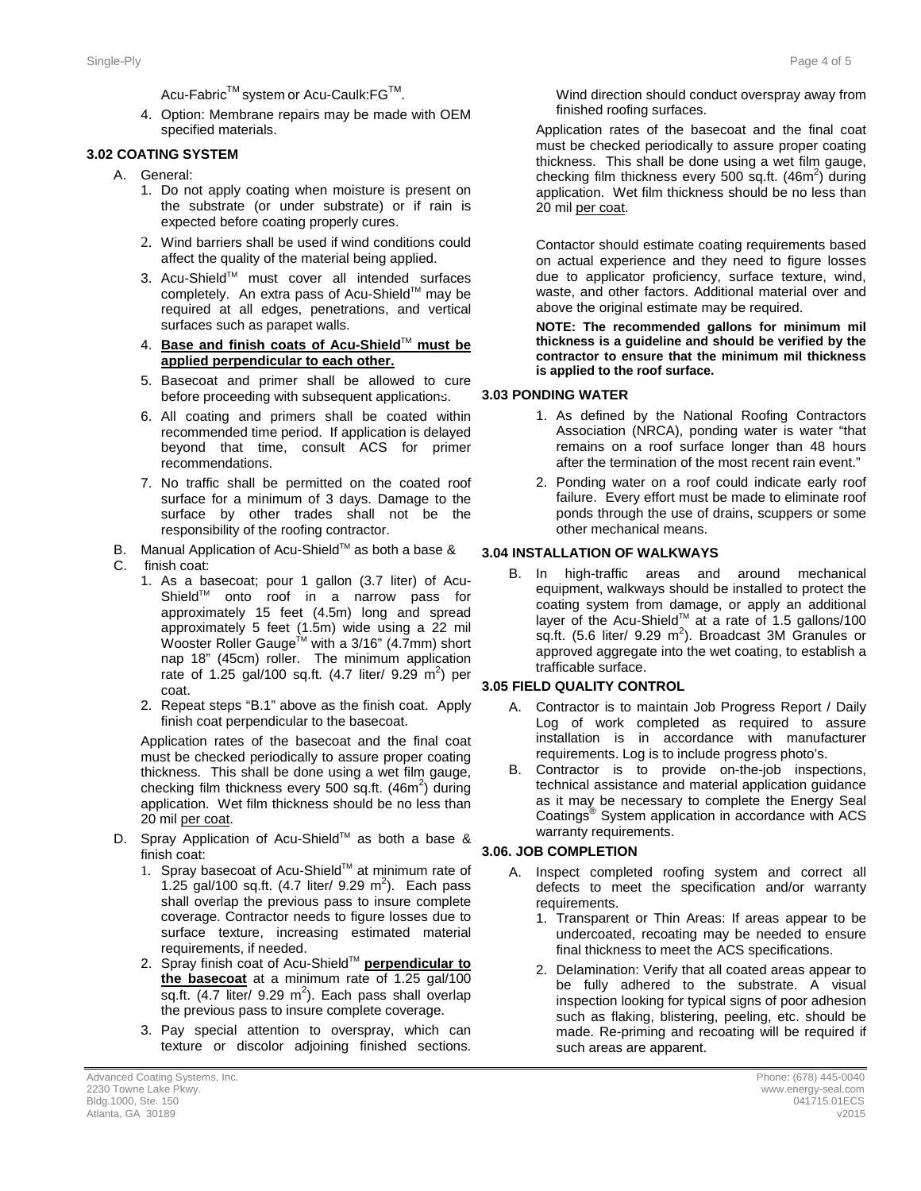Acu-Fabric<sup>™</sup> system or Acu-Caulk:FG<sup>™</sup>.

4. Option: Membrane repairs may be made with OEM specified materials.

#### **3.2 3.02 COATING SYSTEM**

- A. General:
	- 1. Do not apply coating when moisture is present on the substrate (or under substrate) or if rain is expected before coating properly cures.
	- 2. Wind barriers shall be used if wind conditions could affect the quality of the material being applied.
	- 3. Acu-Shield™ must cover all intended surfaces completely. An extra pass of Acu-Shield™ may be required at all edges, penetrations, and vertical surfaces such as parapet walls.
	- 4. **Base and finish coats of Acu-Shield**TM **must be applied perpendicular to each other.**
	- 5. Basecoat and primer shall be allowed to cure before proceeding with subsequent applications.
	- 6. All coating and primers shall be coated within recommended time period. If application is delayed beyond that time, consult ACS for primer recommendations.
	- 7. No traffic shall be permitted on the coated roof surface for a minimum of 3 days. Damage to the surface by other trades shall not be the responsibility of the roofing contractor.
- B. Manual Application of Acu-Shield™ as both a base &
- C. finish coat:
	- 1. As a basecoat; pour 1 gallon (3.7 liter) of Acu-Shield™ onto roof in a narrow pass for approximately 15 feet (4.5m) long and spread approximately 5 feet (1.5m) wide using a 22 mil Wooster Roller Gauge<sup>™</sup> with a 3/16" (4.7mm) short nap 18" (45cm) roller. The minimum application rate of 1.25 gal/100 sq.ft.  $(4.7 \text{ liter/ } 9.29 \text{ m}^2)$  per coat.
	- 2. Repeat steps "B.1" above as the finish coat. Apply finish coat perpendicular to the basecoat.

Application rates of the basecoat and the final coat must be checked periodically to assure proper coating thickness. This shall be done using a wet film gauge, checking film thickness every 500 sq.ft.  $(46m^2)$  during application. Wet film thickness should be no less than 20 mil per coat.

- D. Spray Application of Acu-Shield™ as both a base & finish coat:
	- 1. Spray basecoat of Acu-Shield™ at minimum rate of 1.25 gal/100 sq.ft.  $(4.7 \text{ liter/ } 9.29 \text{ m}^2)$ . Each pass shall overlap the previous pass to insure complete coverage. Contractor needs to figure losses due to surface texture, increasing estimated material requirements, if needed.
	- 2. Spray finish coat of Acu-Shield™ **perpendicular to the basecoat** at a minimum rate of 1.25 gal/100 sq.ft.  $(4.7$  liter/ 9.29 m<sup>2</sup>). Each pass shall overlap the previous pass to insure complete coverage.
	- 3. Pay special attention to overspray, which can texture or discolor adjoining finished sections.

Wind direction should conduct overspray away from finished roofing surfaces.

Application rates of the basecoat and the final coat must be checked periodically to assure proper coating thickness. This shall be done using a wet film gauge, checking film thickness every 500 sq.ft.  $(46m^2)$  during application. Wet film thickness should be no less than 20 mil per coat.

Contactor should estimate coating requirements based on actual experience and they need to figure losses due to applicator proficiency, surface texture, wind, waste, and other factors. Additional material over and above the original estimate may be required.

**NOTE: The recommended gallons for minimum mil thickness is a guideline and should be verified by the contractor to ensure that the minimum mil thickness is applied to the roof surface.** 

#### **3.3 3.03 PONDING WATER**

- 1. As defined by the National Roofing Contractors Association (NRCA), ponding water is water "that remains on a roof surface longer than 48 hours after the termination of the most recent rain event."
- 2. Ponding water on a roof could indicate early roof failure. Every effort must be made to eliminate roof ponds through the use of drains, scuppers or some other mechanical means.

#### **3.04 INSTALLATION OF WALKWAYS**

B. In high-traffic areas and around mechanical equipment, walkways should be installed to protect the coating system from damage, or apply an additional layer of the Acu-Shield<sup>™</sup> at a rate of 1.5 gallons/100 sq.ft. (5.6 liter/ 9.29  $m^2$ ). Broadcast 3M Granules or approved aggregate into the wet coating, to establish a trafficable surface.

#### **3.4 3.05 FIELD QUALITY CONTROL**

- A. Contractor is to maintain Job Progress Report / Daily Log of work completed as required to assure installation is in accordance with manufacturer requirements. Log is to include progress photo's.
- B. Contractor is to provide on-the-job inspections, technical assistance and material application guidance as it may be necessary to complete the Energy Seal Coatings® System application in accordance with ACS warranty requirements.

#### **3.5 3.06. JOB COMPLETION**

- A. Inspect completed roofing system and correct all defects to meet the specification and/or warranty requirements.
	- 1. Transparent or Thin Areas: If areas appear to be undercoated, recoating may be needed to ensure final thickness to meet the ACS specifications.
	- 2. Delamination: Verify that all coated areas appear to be fully adhered to the substrate. A visual inspection looking for typical signs of poor adhesion such as flaking, blistering, peeling, etc. should be made. Re-priming and recoating will be required if such areas are apparent.